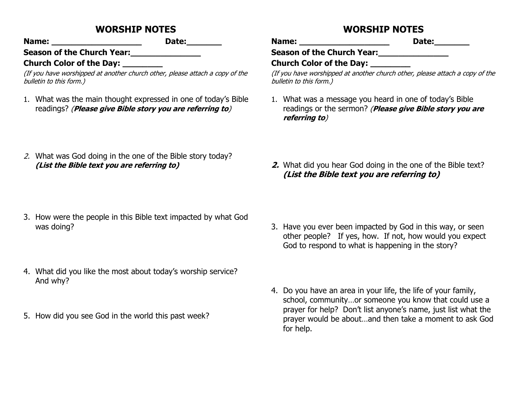## **WORSHIP NOTES**

**Name: \_\_\_\_\_\_\_\_\_\_\_\_\_\_\_\_\_\_ Date:\_\_\_\_\_\_\_**

Season of the Church Year: **we can be considered** 

#### **Church Color of the Day: \_\_\_\_\_\_\_\_**

(If you have worshipped at another church other, please attach a copy of the bulletin to this form.)

- 1. What was the main thought expressed in one of today's Bible readings? (**Please give Bible story you are referring to**)
- 2. What was God doing in the one of the Bible story today? **(List the Bible text you are referring to)**

- 3. How were the people in this Bible text impacted by what God was doing?
- 4. What did you like the most about today's worship service? And why?
- 5. How did you see God in the world this past week?

# **WORSHIP NOTES**

**Name: \_\_\_\_\_\_\_\_\_\_\_\_\_\_\_\_\_\_ Date:\_\_\_\_\_\_\_**

Season of the Church Year:

**Church Color of the Day: \_\_\_\_\_\_\_\_**

(If you have worshipped at another church other, please attach a copy of the bulletin to this form.)

- 1. What was a message you heard in one of today's Bible readings or the sermon? (**Please give Bible story you are referring to**)
- **2.** What did you hear God doing in the one of the Bible text? **(List the Bible text you are referring to)**

- 3. Have you ever been impacted by God in this way, or seen other people? If yes, how. If not, how would you expect God to respond to what is happening in the story?
- 4. Do you have an area in your life, the life of your family, school, community…or someone you know that could use a prayer for help? Don't list anyone's name, just list what the prayer would be about…and then take a moment to ask God for help.